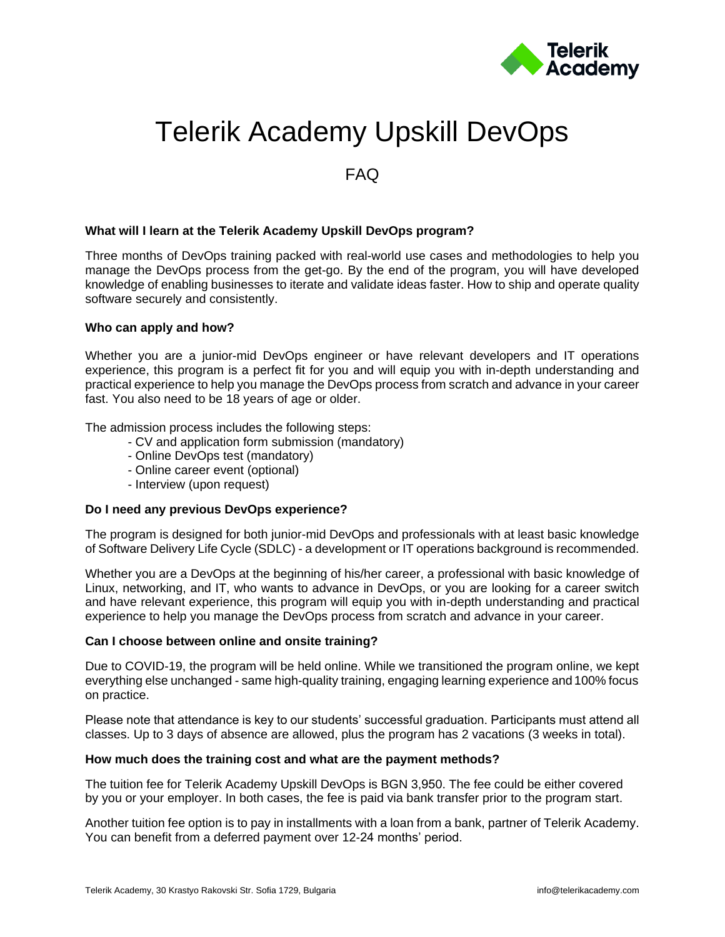

# Telerik Academy Upskill DevOps

# FAQ

# **What will I learn at the Telerik Academy Upskill DevOps program?**

Three months of DevOps training packed with real-world use cases and methodologies to help you manage the DevOps process from the get-go. By the end of the program, you will have developed knowledge of enabling businesses to iterate and validate ideas faster. How to ship and operate quality software securely and consistently.

# **Who can apply and how?**

Whether you are a junior-mid DevOps engineer or have relevant developers and IT operations experience, this program is a perfect fit for you and will equip you with in-depth understanding and practical experience to help you manage the DevOps process from scratch and advance in your career fast. You also need to be 18 years of age or older.

The admission process includes the following steps:

- CV and application form submission (mandatory)
- Online DevOps test (mandatory)
- Online career event (optional)
- Interview (upon request)

# **Do I need any previous DevOps experience?**

The program is designed for both junior-mid DevOps and professionals with at least basic knowledge of Software Delivery Life Cycle (SDLC) - a development or IT operations background is recommended.

Whether you are a DevOps at the beginning of his/her career, a professional with basic knowledge of Linux, networking, and IT, who wants to advance in DevOps, or you are looking for a career switch and have relevant experience, this program will equip you with in-depth understanding and practical experience to help you manage the DevOps process from scratch and advance in your career.

# **Can I choose between online and onsite training?**

Due to COVID-19, the program will be held online. While we transitioned the program online, we kept everything else unchanged - same high-quality training, engaging learning experience and 100% focus on practice.

Please note that attendance is key to our students' successful graduation. Participants must attend all classes. Up to 3 days of absence are allowed, plus the program has 2 vacations (3 weeks in total).

# **How much does the training cost and what are the payment methods?**

The tuition fee for Telerik Academy Upskill DevOps is BGN 3,950. The fee could be either covered by you or your employer. In both cases, the fee is paid via bank transfer prior to the program start.

Another tuition fee option is to pay in installments with a loan from a bank, partner of Telerik Academy. You can benefit from a deferred payment over 12-24 months' period.